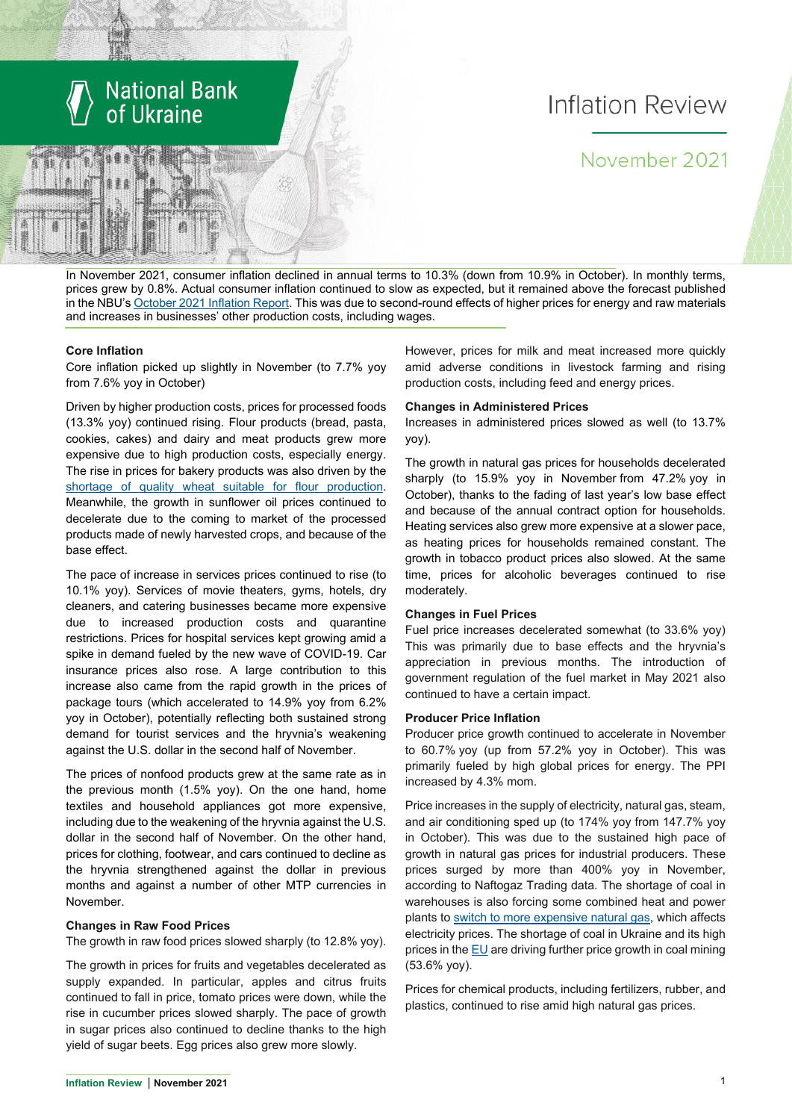

# Inflation Review

# November 2021

In November 2021, consumer inflation declined in annual terms to 10.3% (down from 10.9% in October). In monthly terms, prices grew by 0.8%. Actual consumer inflation continued to slow as expected, but it remained above the forecast published in the NBU'[s October](https://bank.gov.ua/ua/news/all/inflyatsiyniy-zvit-jovten-2021-roku) 2021 Inflation Report. This was due to second-round effects of higher prices for energy and raw materials and increases in businesses' other production costs, including wages.

#### **Core Inflation**

Core inflation picked up slightly in November (to 7.7% yoy from 7.6% yoy in October)

Driven by higher production costs, prices for processed foods (13.3% yoy) continued rising. Flour products (bread, pasta, cookies, cakes) and dairy and meat products grew more expensive due to high production costs, especially energy. The rise in prices for bakery products was also driven by the [shortage of quality wheat suitable for flour production.](https://agronews.ua/news/stalo-vidomo-chomu-podorozhchannya-hliba-ye-nemynuchym/) Meanwhile, the growth in sunflower oil prices continued to decelerate due to the coming to market of the processed products made of newly harvested crops, and because of the base effect.

The pace of increase in services prices continued to rise (to 10.1% yoy). Services of movie theaters, gyms, hotels, dry cleaners, and catering businesses became more expensive due to increased production costs and quarantine restrictions. Prices for hospital services kept growing amid a spike in demand fueled by the new wave of COVID-19. Car insurance prices also rose. A large contribution to this increase also came from the rapid growth in the prices of package tours (which accelerated to 14.9% yoy from 6.2% yoy in October), potentially reflecting both sustained strong demand for tourist services and the hryvnia's weakening against the U.S. dollar in the second half of November.

The prices of nonfood products grew at the same rate as in the previous month (1.5% yoy). On the one hand, home textiles and household appliances got more expensive, including due to the weakening of the hryvnia against the U.S. dollar in the second half of November. On the other hand, prices for clothing, footwear, and cars continued to decline as the hryvnia strengthened against the dollar in previous months and against a number of other MTP currencies in November.

#### **Changes in Raw Food Prices**

The growth in raw food prices slowed sharply (to 12.8% yoy).

The growth in prices for fruits and vegetables decelerated as supply expanded. In particular, apples and citrus fruits continued to fall in price, tomato prices were down, while the rise in cucumber prices slowed sharply. The pace of growth in sugar prices also continued to decline thanks to the high yield of sugar beets. Egg prices also grew more slowly.

However, prices for milk and meat increased more quickly amid adverse conditions in livestock farming and rising production costs, including feed and energy prices.

#### **Changes in Administered Prices**

Increases in administered prices slowed as well (to 13.7% yoy).

The growth in natural gas prices for households decelerated sharply (to 15.9% yoy in November from 47.2% yoy in October), thanks to the fading of last year's low base effect and because of the annual contract option for households. Heating services also grew more expensive at a slower pace, as heating prices for households remained constant. The growth in tobacco product prices also slowed. At the same time, prices for alcoholic beverages continued to rise moderately.

#### **Changes in Fuel Prices**

Fuel price increases decelerated somewhat (to 33.6% yoy) This was primarily due to base effects and the hryvnia's appreciation in previous months. The introduction of government regulation of the fuel market in May 2021 also continued to have a certain impact.

#### **Producer Price Inflation**

Producer price growth continued to accelerate in November to 60.7% yoy (up from 57.2% yoy in October). This was primarily fueled by high global prices for energy. The PPI increased by 4.3% mom.

Price increases in the supply of electricity, natural gas, steam, and air conditioning sped up (to 174% yoy from 147.7% yoy in October). This was due to the sustained high pace of growth in natural gas prices for industrial producers. These prices surged by more than 400% yoy in November, according to Naftogaz Trading data. The shortage of coal in warehouses is also forcing some combined heat and power plants to [switch to more expensive natural gas,](https://ua.energy/zagalni-novyny/robota-energosystemy-22-28-lystopada-2021-roku/) which affects electricity prices. The shortage of coal in Ukraine and its high prices in th[e EU](https://www.bloomberg.com/news/articles/2021-11-23/european-coal-prices-rise-as-profitability-jumps-this-winter) are driving further price growth in coal mining (53.6% yoy).

Prices for chemical products, including fertilizers, rubber, and plastics, continued to rise amid high natural gas prices.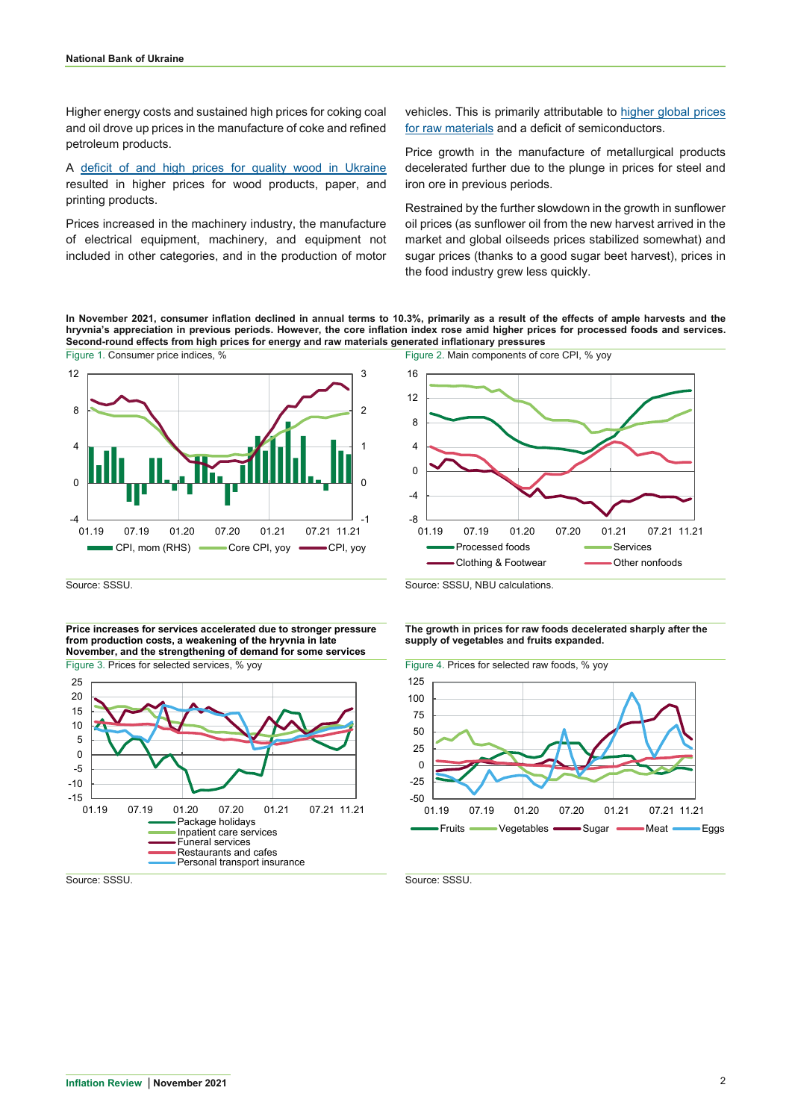Higher energy costs and sustained high prices for coking coal and oil drove up prices in the manufacture of coke and refined petroleum products.

A [deficit of and high prices for quality wood in Ukraine](https://www.epravda.com.ua/rus/columns/2021/11/15/679753/) resulted in higher prices for wood products, paper, and printing products.

Prices increased in the machinery industry, the manufacture of electrical equipment, machinery, and equipment not included in other categories, and in the production of motor

vehicles. This is primarily attributable to [higher global prices](https://metallurgprom.org/main/10510-veduschie-avtoproizvoditeli-zajavili-o-povyshenii-cen-na-avtomobili-iz-za-rosta-cen-na-stal.html)  [for raw m](https://metallurgprom.org/main/10510-veduschie-avtoproizvoditeli-zajavili-o-povyshenii-cen-na-avtomobili-iz-za-rosta-cen-na-stal.html)aterials and a deficit of semiconductors.

Price growth in the manufacture of metallurgical products decelerated further due to the plunge in prices for steel and iron ore in previous periods.

Restrained by the further slowdown in the growth in sunflower oil prices (as sunflower oil from the new harvest arrived in the market and global oilseeds prices stabilized somewhat) and sugar prices (thanks to a good sugar beet harvest), prices in the food industry grew less quickly.

**In November 2021, consumer inflation declined in annual terms to 10.3%, primarily as a result of the effects of ample harvests and the hryvnia's appreciation in previous periods. However, the core inflation index rose amid higher prices for processed foods and services. Second-round effects from high prices for energy and raw materials generated inflationary pressures**





**Price increases for services accelerated due to stronger pressure from production costs, a weakening of the hryvnia in late November, and the strengthening of demand for some services** Figure 3. Prices for selected services, % yoy Figure 4. Prices for selected raw foods, % yoy



Source: SSSU. Source: SSSU, NBU calculations.

**The growth in prices for raw foods decelerated sharply after the supply of vegetables and fruits expanded.**

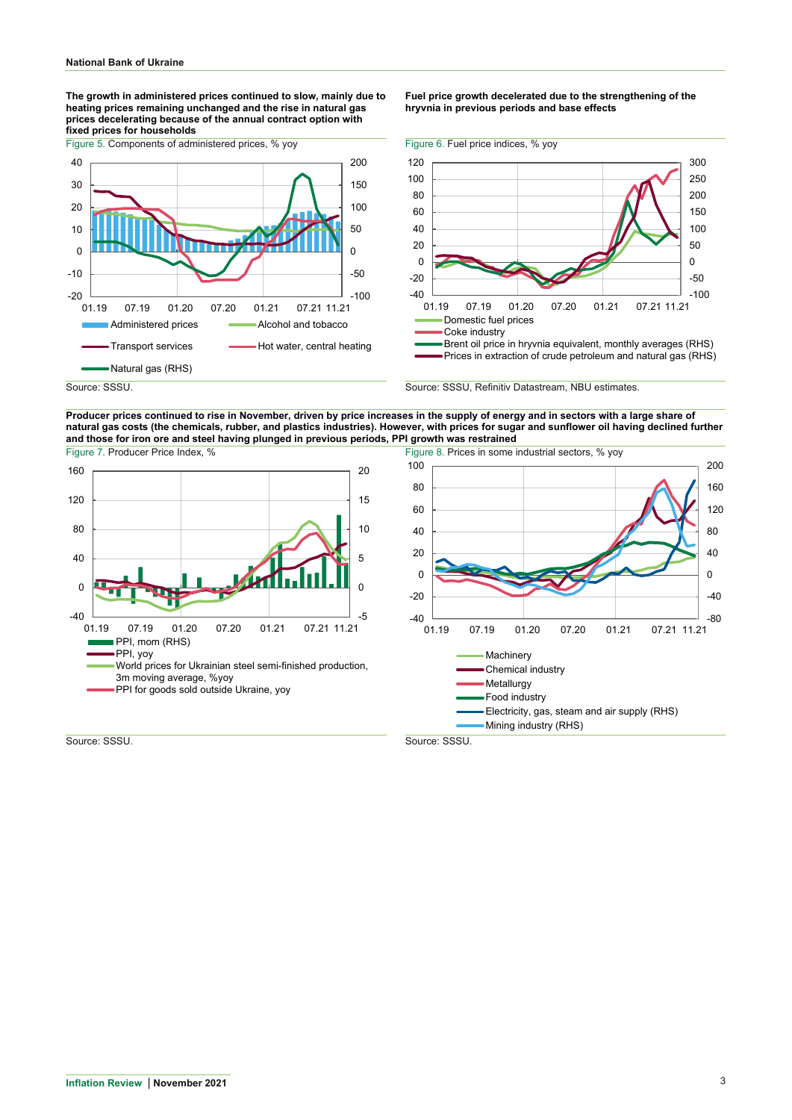**The growth in administered prices continued to slow, mainly due to heating prices remaining unchanged and the rise in natural gas prices decelerating because of the annual contract option with fixed prices for households**



**Fuel price growth decelerated due to the strengthening of the hryvnia in previous periods and base effects**



Source: SSSU. Source: SSSU, Refinitiv Datastream, NBU estimates.

**Producer prices continued to rise in November, driven by price increases in the supply of energy and in sectors with a large share of natural gas costs (the chemicals, rubber, and plastics industries). However, with prices for sugar and sunflower oil having declined further and those for iron ore and steel having plunged in previous periods, PPI growth was restrained** Figure 7. Producer Price Index, % Figure 8. Prices in some industrial sectors, % yoy





Source: SSSU. Source: SSSU.